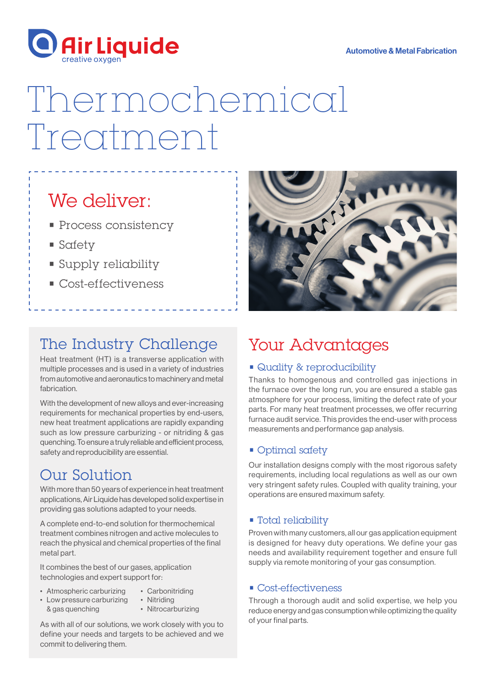

#### Automotive & Metal Fabrication

# Thermochemical Treatment

### We deliver:

- **Process consistency**
- Safety
- Supply reliability
- Cost-effectiveness

### The Industry Challenge

Heat treatment (HT) is a transverse application with multiple processes and is used in a variety of industries from automotive and aeronautics to machinery and metal fabrication.

With the development of new alloys and ever-increasing requirements for mechanical properties by end-users, new heat treatment applications are rapidly expanding such as low pressure carburizing - or nitriding & gas quenching. To ensure a truly reliable and efficient process, safety and reproducibility are essential.

### Our Solution

With more than 50 years of experience in heat treatment applications, Air Liquide has developed solid expertise in providing gas solutions adapted to your needs.

A complete end-to-end solution for thermochemical treatment combines nitrogen and active molecules to reach the physical and chemical properties of the final metal part.

It combines the best of our gases, application technologies and expert support for:

- Atmospheric carburizing • Carbonitriding
- Low pressure carburizing & gas quenching
	- Nitriding • Nitrocarburizing

As with all of our solutions, we work closely with you to define your needs and targets to be achieved and we commit to delivering them.



### Your Advantages

### • Quality & reproducibility

Thanks to homogenous and controlled gas injections in the furnace over the long run, you are ensured a stable gas atmosphere for your process, limiting the defect rate of your parts. For many heat treatment processes, we offer recurring furnace audit service. This provides the end-user with process measurements and performance gap analysis.

### • Optimal safety

Our installation designs comply with the most rigorous safety requirements, including local regulations as well as our own very stringent safety rules. Coupled with quality training, your operations are ensured maximum safety.

### • Total reliability

Proven with many customers, all our gas application equipment is designed for heavy duty operations. We define your gas needs and availability requirement together and ensure full supply via remote monitoring of your gas consumption.

#### • Cost-effectiveness

Through a thorough audit and solid expertise, we help you reduce energy and gas consumption while optimizing the quality of your final parts.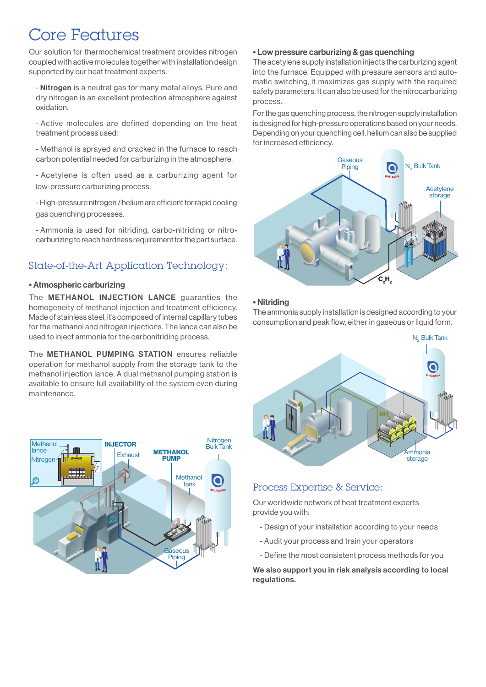### Core Features

Our solution for thermochemical treatment provides nitrogen coupled with active molecules together with installation design supported by our heat treatment experts.

- Nitrogen is a neutral gas for many metal alloys. Pure and dry nitrogen is an excellent protection atmosphere against oxidation.

- Active molecules are defined depending on the heat treatment process used:

- Methanol is sprayed and cracked in the furnace to reach carbon potential needed for carburizing in the atmosphere.

- Acetylene is often used as a carburizing agent for low-pressure carburizing process.

- High-pressure nitrogen / helium are efficient for rapid cooling gas quenching processes.

- Ammonia is used for nitriding, carbo-nitriding or nitrocarburizing to reach hardness requirement for the part surface.

### State-of-the-Art Application Technology:

#### • Atmospheric carburizing

The METHANOL INJECTION LANCE guaranties the homogeneity of methanol injection and treatment efficiency. Made of stainless steel, it's composed of internal capillary tubes for the methanol and nitrogen injections. The lance can also be used to inject ammonia for the carbonitriding process.

The METHANOL PUMPING STATION ensures reliable operation for methanol supply from the storage tank to the methanol injection lance. A dual methanol pumping station is available to ensure full availability of the system even during maintenance.



#### • Low pressure carburizing & gas quenching

The acetylene supply installation injects the carburizing agent into the furnace. Equipped with pressure sensors and automatic switching, it maximizes gas supply with the required safety parameters. It can also be used for the nitrocarburizing process.

For the gas quenching process, the nitrogen supply installation is designed for high-pressure operations based on your needs. Depending on your quenching cell, helium can also be supplied for increased efficiency.



#### • Nitriding

The ammonia supply installation is designed according to your consumption and peak flow, either in gaseous or liquid form.



### Process Expertise & Service:

Our worldwide network of heat treatment experts provide you with:

- Design of your installation according to your needs
- Audit your process and train your operators
- Define the most consistent process methods for you

We also support you in risk analysis according to local regulations.